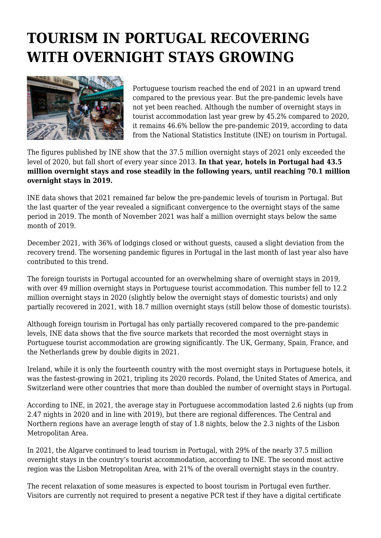## **TOURISM IN PORTUGAL RECOVERING WITH OVERNIGHT STAYS GROWING**



Portuguese tourism reached the end of 2021 in an upward trend compared to the previous year. But the pre-pandemic levels have not yet been reached. Although the number of overnight stays in tourist accommodation last year grew by 45.2% compared to 2020, it remains 46.6% bellow the pre-pandemic 2019, according to data from the National Statistics Institute (INE) on tourism in Portugal.

The figures published by INE show that the 37.5 million overnight stays of 2021 only exceeded the level of 2020, but fall short of every year since 2013. **In that year, hotels in Portugal had 43.5 million overnight stays and rose steadily in the following years, until reaching 70.1 million overnight stays in 2019.**

INE data shows that 2021 remained far below the pre-pandemic levels of tourism in Portugal. But the last quarter of the year revealed a significant convergence to the overnight stays of the same period in 2019. The month of November 2021 was half a million overnight stays below the same month of 2019.

December 2021, with 36% of lodgings closed or without guests, caused a slight deviation from the recovery trend. The worsening pandemic figures in Portugal in the last month of last year also have contributed to this trend.

The foreign tourists in Portugal accounted for an overwhelming share of overnight stays in 2019, with over 49 million overnight stays in Portuguese tourist accommodation. This number fell to 12.2 million overnight stays in 2020 (slightly below the overnight stays of domestic tourists) and only partially recovered in 2021, with 18.7 million overnight stays (still below those of domestic tourists).

Although foreign tourism in Portugal has only partially recovered compared to the pre-pandemic levels, INE data shows that the five source markets that recorded the most overnight stays in Portuguese tourist accommodation are growing significantly. The UK, Germany, Spain, France, and the Netherlands grew by double digits in 2021.

Ireland, while it is only the fourteenth country with the most overnight stays in Portuguese hotels, it was the fastest-growing in 2021, tripling its 2020 records. Poland, the United States of America, and Switzerland were other countries that more than doubled the number of overnight stays in Portugal.

According to INE, in 2021, the average stay in Portuguese accommodation lasted 2.6 nights (up from 2.47 nights in 2020 and in line with 2019), but there are regional differences. The Central and Northern regions have an average length of stay of 1.8 nights, below the 2.3 nights of the Lisbon Metropolitan Area.

In 2021, the Algarve continued to lead tourism in Portugal, with 29% of the nearly 37.5 million overnight stays in the country's tourist accommodation, according to INE. The second most active region was the Lisbon Metropolitan Area, with 21% of the overall overnight stays in the country.

The recent relaxation of some measures is expected to boost tourism in Portugal even further. Visitors are currently not required to present a negative PCR test if they have a digital certificate